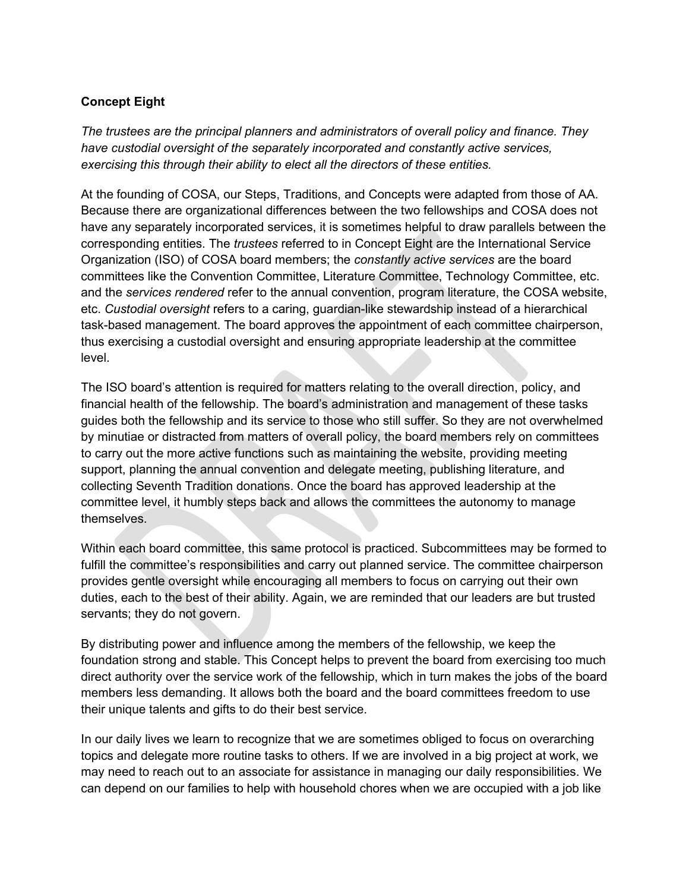## **Concept Eight**

*The trustees are the principal planners and administrators of overall policy and finance. They have custodial oversight of the separately incorporated and constantly active services, exercising this through their ability to elect all the directors of these entities.*

At the founding of COSA, our Steps, Traditions, and Concepts were adapted from those of AA. Because there are organizational differences between the two fellowships and COSA does not have any separately incorporated services, it is sometimes helpful to draw parallels between the corresponding entities. The *trustees* referred to in Concept Eight are the International Service Organization (ISO) of COSA board members; the *constantly active services* are the board committees like the Convention Committee, Literature Committee, Technology Committee, etc. and the *services rendered* refer to the annual convention, program literature, the COSA website, etc. *Custodial oversight* refers to a caring, guardian-like stewardship instead of a hierarchical task-based management. The board approves the appointment of each committee chairperson, thus exercising a custodial oversight and ensuring appropriate leadership at the committee level.

The ISO board's attention is required for matters relating to the overall direction, policy, and financial health of the fellowship. The board's administration and management of these tasks guides both the fellowship and its service to those who still suffer. So they are not overwhelmed by minutiae or distracted from matters of overall policy, the board members rely on committees to carry out the more active functions such as maintaining the website, providing meeting support, planning the annual convention and delegate meeting, publishing literature, and collecting Seventh Tradition donations. Once the board has approved leadership at the committee level, it humbly steps back and allows the committees the autonomy to manage themselves.

Within each board committee, this same protocol is practiced. Subcommittees may be formed to fulfill the committee's responsibilities and carry out planned service. The committee chairperson provides gentle oversight while encouraging all members to focus on carrying out their own duties, each to the best of their ability. Again, we are reminded that our leaders are but trusted servants; they do not govern.

By distributing power and influence among the members of the fellowship, we keep the foundation strong and stable. This Concept helps to prevent the board from exercising too much direct authority over the service work of the fellowship, which in turn makes the jobs of the board members less demanding. It allows both the board and the board committees freedom to use their unique talents and gifts to do their best service.

In our daily lives we learn to recognize that we are sometimes obliged to focus on overarching topics and delegate more routine tasks to others. If we are involved in a big project at work, we may need to reach out to an associate for assistance in managing our daily responsibilities. We can depend on our families to help with household chores when we are occupied with a job like